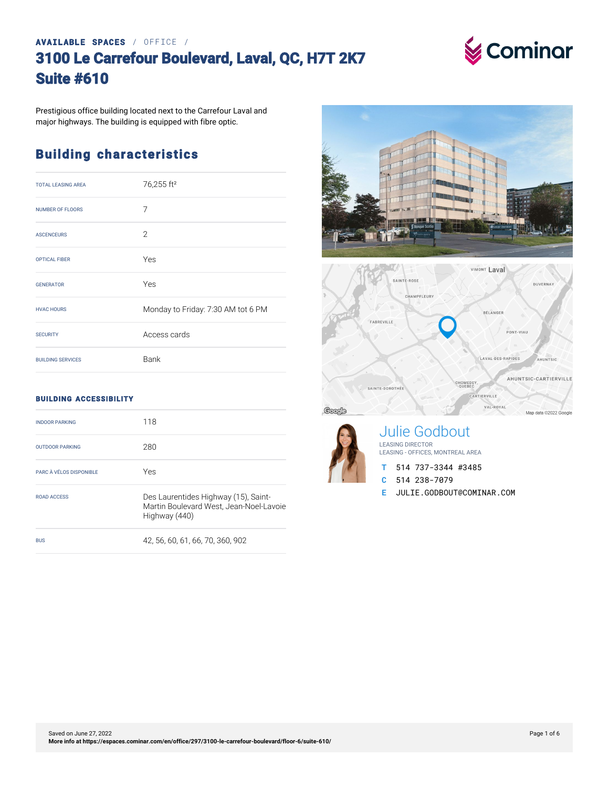### **AVAILABLE SPACES** / OFFICE / **3100 Le Carrefour Boulevard, Laval, QC, H7T 2K7 Suite #610**



Prestigious office building located next to the Carrefour Laval and major highways. The building is equipped with fibre optic.

## **Building characteristics**

| <b>TOTAL LEASING AREA</b> | 76,255 ft <sup>2</sup>             |
|---------------------------|------------------------------------|
| <b>NUMBER OF FLOORS</b>   | 7                                  |
| <b>ASCENCEURS</b>         | $\overline{2}$                     |
| <b>OPTICAL FIBER</b>      | Yes                                |
| <b>GENERATOR</b>          | Yes                                |
| <b>HVAC HOURS</b>         | Monday to Friday: 7:30 AM tot 6 PM |
| <b>SECURITY</b>           | Access cards                       |
| <b>BUILDING SERVICES</b>  | Bank                               |

#### **BUILDING ACCESSIBILITY**

| <b>INDOOR PARKING</b>   | 118                                                                                              |
|-------------------------|--------------------------------------------------------------------------------------------------|
| <b>OUTDOOR PARKING</b>  | 280                                                                                              |
| PARC À VÉLOS DISPONIBLE | Yes                                                                                              |
| ROAD ACCESS             | Des Laurentides Highway (15), Saint-<br>Martin Boulevard West, Jean-Noel-Lavoie<br>Highway (440) |
| <b>BUS</b>              | 42.56.60.61.66.70.360.902                                                                        |







Julie Godbout LEASING DIRECTOR LEASING - OFFICES, MONTREAL AREA

- **T** 514 737-3344 #3485
- **C** 514 238-7079
- **E** JULIE.GODBOUT@COMINAR.COM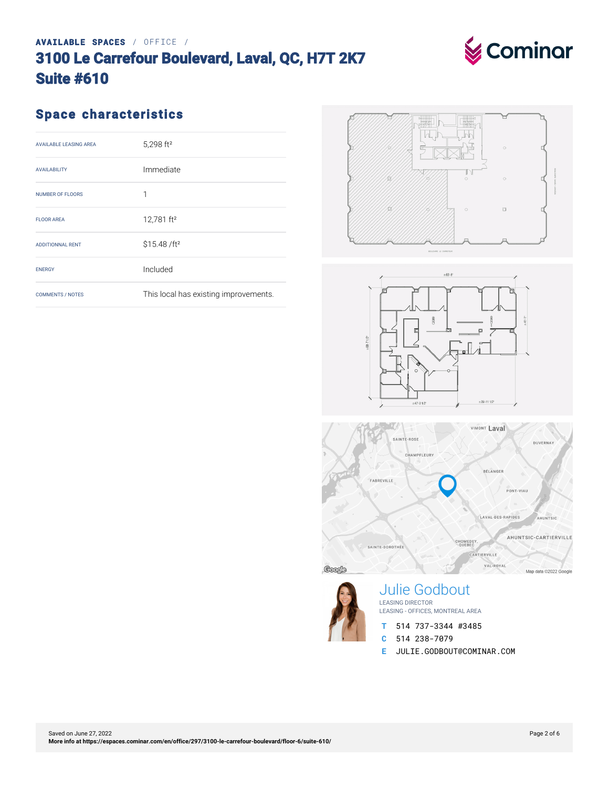#### Saved on June 27, 2022 **[More info at https://espaces.cominar.com/en/office/297/3100-le-carrefour-boulevard/floor-6/suite-610/](https://espaces.cominar.com/en/office/297/3100-le-carrefour-boulevard/floor-6/suite-610/)**

### **AVAILABLE SPACES** / OFFICE / **3100 Le Carrefour Boulevard, Laval, QC, H7T 2K7 Suite #610**

## **Space characteristics**

| <b>AVAILABLE LEASING AREA</b> | 5,298 ft <sup>2</sup>                 |
|-------------------------------|---------------------------------------|
| <b>AVAILABILITY</b>           | Immediate                             |
| NUMBER OF FLOORS              | 1                                     |
| <b>FLOOR AREA</b>             | 12,781 ft <sup>2</sup>                |
| <b>ADDITIONNAL RENT</b>       | \$15.48 /ft <sup>2</sup>              |
| <b>ENERGY</b>                 | Included                              |
| <b>COMMENTS / NOTES</b>       | This local has existing improvements. |
|                               |                                       |









Julie Godbout LEASING DIRECTOR LEASING - OFFICES, MONTREAL AREA

- **T** 514 737-3344 #3485
- **C** 514 238-7079
- **E** JULIE.GODBOUT@COMINAR.COM

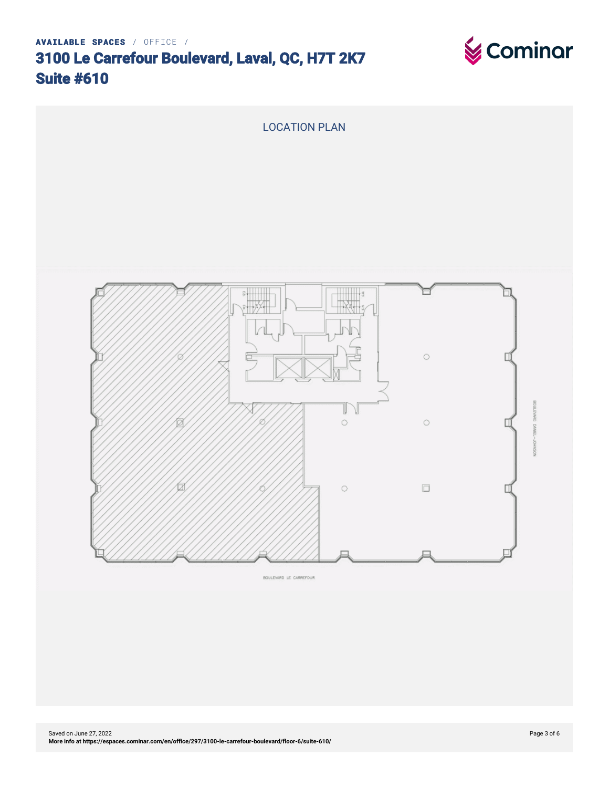





BOULEVARD LE CARREFOUR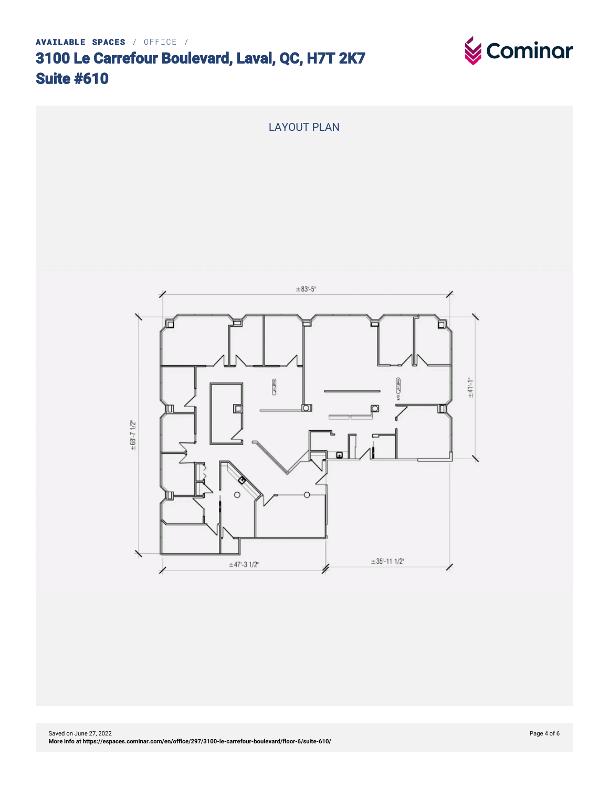

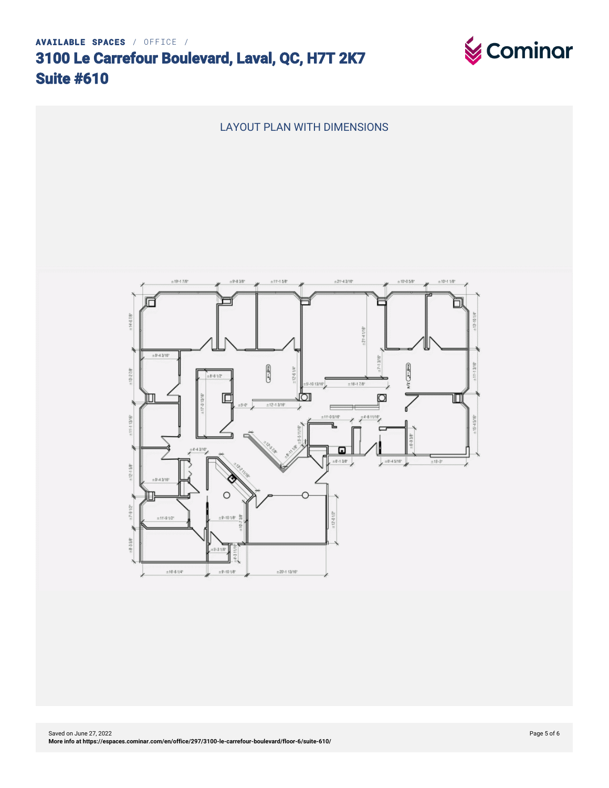